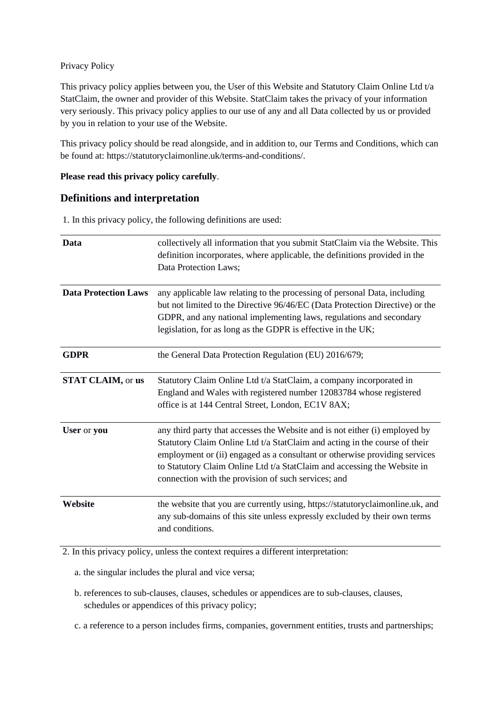### Privacy Policy

This privacy policy applies between you, the User of this Website and Statutory Claim Online Ltd t/a StatClaim, the owner and provider of this Website. StatClaim takes the privacy of your information very seriously. This privacy policy applies to our use of any and all Data collected by us or provided by you in relation to your use of the Website.

This privacy policy should be read alongside, and in addition to, our Terms and Conditions, which can be found at: https://statutoryclaimonline.uk/terms-and-conditions/.

#### **Please read this privacy policy carefully**.

# **Definitions and interpretation**

1. In this privacy policy, the following definitions are used:

| Data                        | collectively all information that you submit StatClaim via the Website. This<br>definition incorporates, where applicable, the definitions provided in the<br>Data Protection Laws;                                                                                                                                                                                        |
|-----------------------------|----------------------------------------------------------------------------------------------------------------------------------------------------------------------------------------------------------------------------------------------------------------------------------------------------------------------------------------------------------------------------|
| <b>Data Protection Laws</b> | any applicable law relating to the processing of personal Data, including<br>but not limited to the Directive 96/46/EC (Data Protection Directive) or the<br>GDPR, and any national implementing laws, regulations and secondary<br>legislation, for as long as the GDPR is effective in the UK;                                                                           |
| <b>GDPR</b>                 | the General Data Protection Regulation (EU) 2016/679;                                                                                                                                                                                                                                                                                                                      |
| <b>STAT CLAIM, or us</b>    | Statutory Claim Online Ltd t/a StatClaim, a company incorporated in<br>England and Wales with registered number 12083784 whose registered<br>office is at 144 Central Street, London, EC1V 8AX;                                                                                                                                                                            |
| User or you                 | any third party that accesses the Website and is not either (i) employed by<br>Statutory Claim Online Ltd t/a StatClaim and acting in the course of their<br>employment or (ii) engaged as a consultant or otherwise providing services<br>to Statutory Claim Online Ltd t/a StatClaim and accessing the Website in<br>connection with the provision of such services; and |
| Website                     | the website that you are currently using, https://statutoryclaimonline.uk, and<br>any sub-domains of this site unless expressly excluded by their own terms<br>and conditions.                                                                                                                                                                                             |

2. In this privacy policy, unless the context requires a different interpretation:

a. the singular includes the plural and vice versa;

- b. references to sub-clauses, clauses, schedules or appendices are to sub-clauses, clauses, schedules or appendices of this privacy policy;
- c. a reference to a person includes firms, companies, government entities, trusts and partnerships;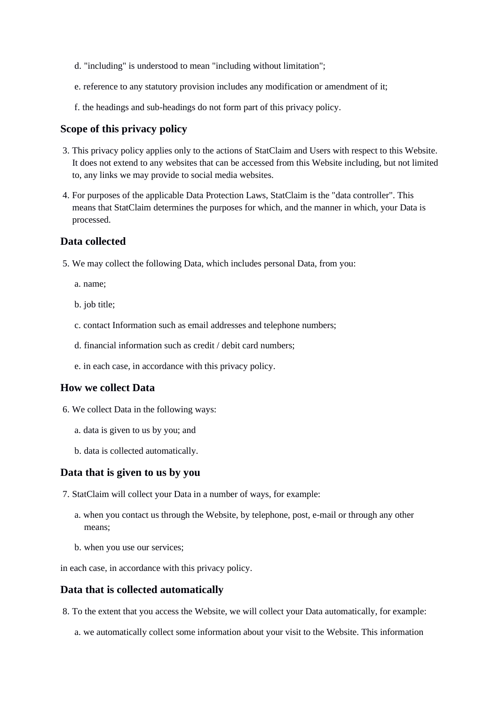- d. "including" is understood to mean "including without limitation";
- e. reference to any statutory provision includes any modification or amendment of it;
- f. the headings and sub-headings do not form part of this privacy policy.

### **Scope of this privacy policy**

- 3. This privacy policy applies only to the actions of StatClaim and Users with respect to this Website. It does not extend to any websites that can be accessed from this Website including, but not limited to, any links we may provide to social media websites.
- 4. For purposes of the applicable Data Protection Laws, StatClaim is the "data controller". This means that StatClaim determines the purposes for which, and the manner in which, your Data is processed.

## **Data collected**

5. We may collect the following Data, which includes personal Data, from you:

a. name;

- b. job title;
- c. contact Information such as email addresses and telephone numbers;
- d. financial information such as credit / debit card numbers;
- e. in each case, in accordance with this privacy policy.

### **How we collect Data**

- 6. We collect Data in the following ways:
	- a. data is given to us by you; and
	- b. data is collected automatically.

#### **Data that is given to us by you**

- 7. StatClaim will collect your Data in a number of ways, for example:
	- a. when you contact us through the Website, by telephone, post, e-mail or through any other means;
	- b. when you use our services;

in each case, in accordance with this privacy policy.

### **Data that is collected automatically**

8. To the extent that you access the Website, we will collect your Data automatically, for example:

a. we automatically collect some information about your visit to the Website. This information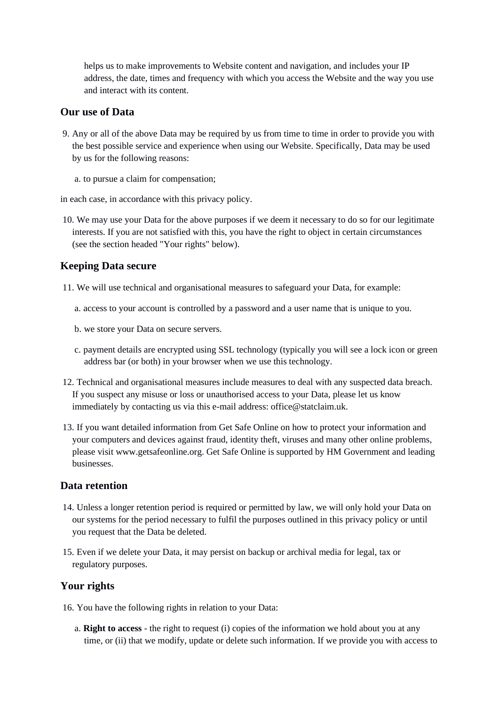helps us to make improvements to Website content and navigation, and includes your IP address, the date, times and frequency with which you access the Website and the way you use and interact with its content.

## **Our use of Data**

- 9. Any or all of the above Data may be required by us from time to time in order to provide you with the best possible service and experience when using our Website. Specifically, Data may be used by us for the following reasons:
	- a. to pursue a claim for compensation;

in each case, in accordance with this privacy policy.

10. We may use your Data for the above purposes if we deem it necessary to do so for our legitimate interests. If you are not satisfied with this, you have the right to object in certain circumstances (see the section headed "Your rights" below).

## **Keeping Data secure**

11. We will use technical and organisational measures to safeguard your Data, for example:

- a. access to your account is controlled by a password and a user name that is unique to you.
- b. we store your Data on secure servers.
- c. payment details are encrypted using SSL technology (typically you will see a lock icon or green address bar (or both) in your browser when we use this technology.
- 12. Technical and organisational measures include measures to deal with any suspected data breach. If you suspect any misuse or loss or unauthorised access to your Data, please let us know immediately by contacting us via this e-mail address: office@statclaim.uk.
- 13. If you want detailed information from Get Safe Online on how to protect your information and your computers and devices against fraud, identity theft, viruses and many other online problems, please visit www.getsafeonline.org. Get Safe Online is supported by HM Government and leading businesses.

### **Data retention**

- 14. Unless a longer retention period is required or permitted by law, we will only hold your Data on our systems for the period necessary to fulfil the purposes outlined in this privacy policy or until you request that the Data be deleted.
- 15. Even if we delete your Data, it may persist on backup or archival media for legal, tax or regulatory purposes.

### **Your rights**

16. You have the following rights in relation to your Data:

a. **Right to access** - the right to request (i) copies of the information we hold about you at any time, or (ii) that we modify, update or delete such information. If we provide you with access to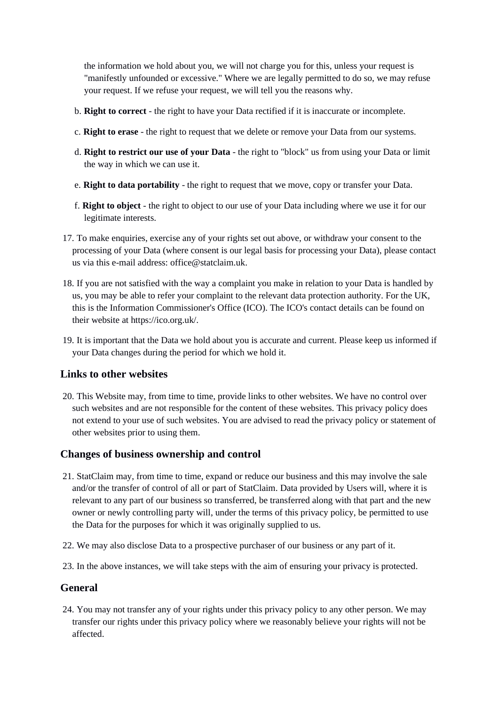the information we hold about you, we will not charge you for this, unless your request is "manifestly unfounded or excessive." Where we are legally permitted to do so, we may refuse your request. If we refuse your request, we will tell you the reasons why.

- b. **Right to correct** the right to have your Data rectified if it is inaccurate or incomplete.
- c. **Right to erase** the right to request that we delete or remove your Data from our systems.
- d. **Right to restrict our use of your Data** the right to "block" us from using your Data or limit the way in which we can use it.
- e. **Right to data portability** the right to request that we move, copy or transfer your Data.
- f. **Right to object** the right to object to our use of your Data including where we use it for our legitimate interests.
- 17. To make enquiries, exercise any of your rights set out above, or withdraw your consent to the processing of your Data (where consent is our legal basis for processing your Data), please contact us via this e-mail address: office@statclaim.uk.
- 18. If you are not satisfied with the way a complaint you make in relation to your Data is handled by us, you may be able to refer your complaint to the relevant data protection authority. For the UK, this is the Information Commissioner's Office (ICO). The ICO's contact details can be found on their website at https://ico.org.uk/.
- 19. It is important that the Data we hold about you is accurate and current. Please keep us informed if your Data changes during the period for which we hold it.

# **Links to other websites**

20. This Website may, from time to time, provide links to other websites. We have no control over such websites and are not responsible for the content of these websites. This privacy policy does not extend to your use of such websites. You are advised to read the privacy policy or statement of other websites prior to using them.

### **Changes of business ownership and control**

- 21. StatClaim may, from time to time, expand or reduce our business and this may involve the sale and/or the transfer of control of all or part of StatClaim. Data provided by Users will, where it is relevant to any part of our business so transferred, be transferred along with that part and the new owner or newly controlling party will, under the terms of this privacy policy, be permitted to use the Data for the purposes for which it was originally supplied to us.
- 22. We may also disclose Data to a prospective purchaser of our business or any part of it.
- 23. In the above instances, we will take steps with the aim of ensuring your privacy is protected.

# **General**

24. You may not transfer any of your rights under this privacy policy to any other person. We may transfer our rights under this privacy policy where we reasonably believe your rights will not be affected.